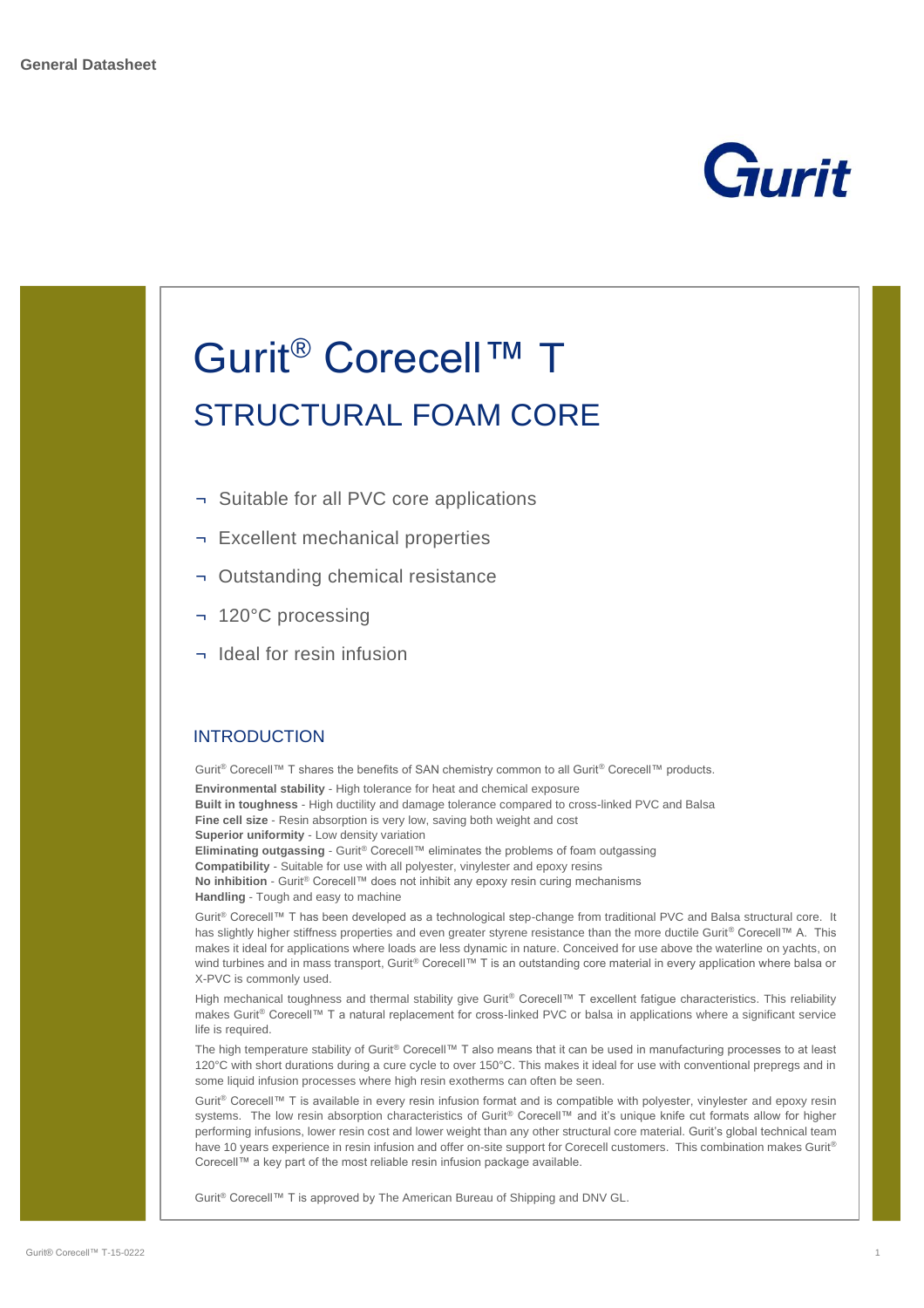



Gurit® Corecell™ T is approved by The American Bureau of Shipping and DNV GL.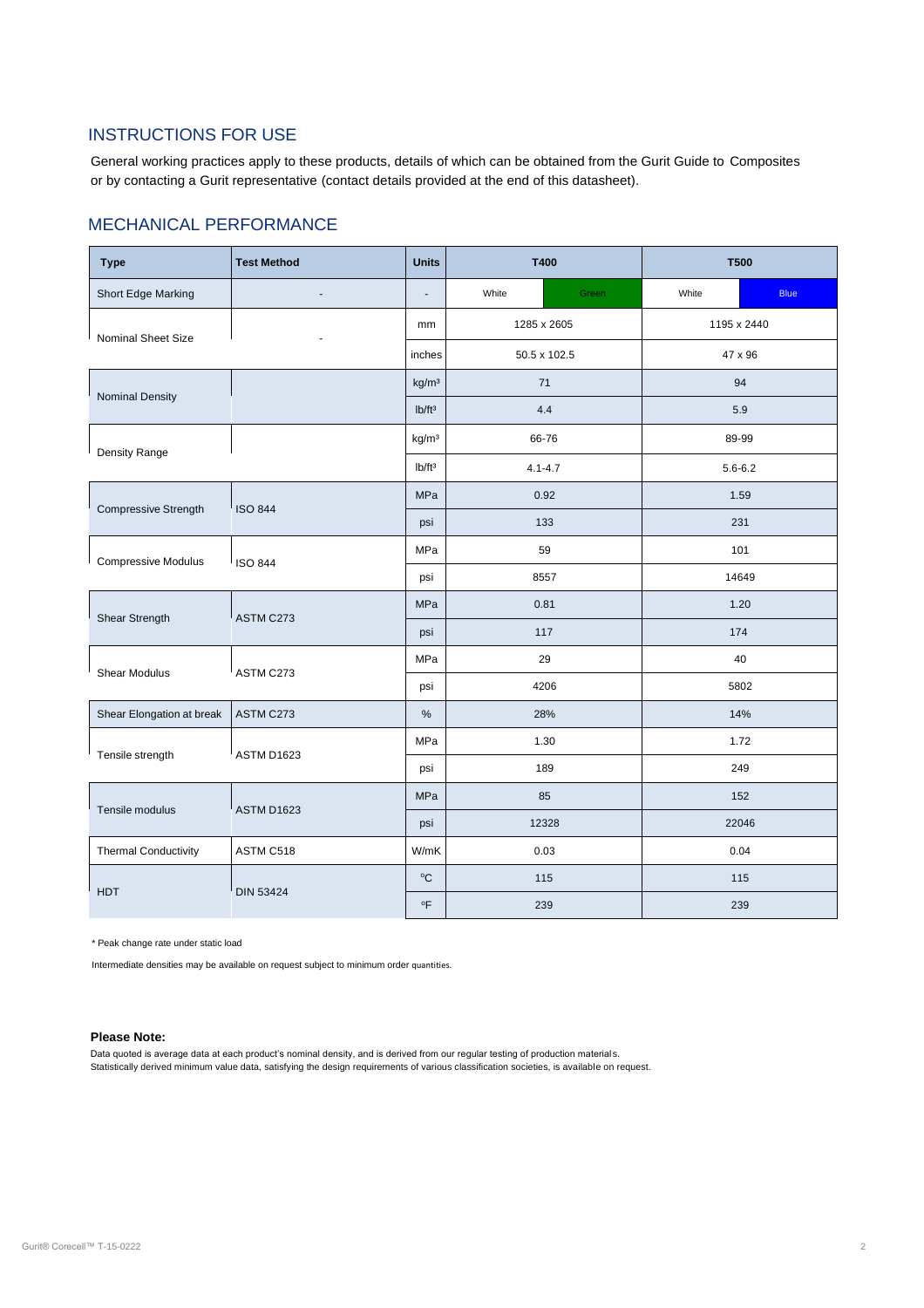## INSTRUCTIONS FOR USE

General working practices apply to these products, details of which can be obtained from the Gurit Guide to Composites or by contacting a Gurit representative (contact details provided at the end of this datasheet).

### MECHANICAL PERFORMANCE

| <b>Type</b>                 | <b>Test Method</b> | <b>Units</b>       | T400         |       | <b>T500</b> |             |
|-----------------------------|--------------------|--------------------|--------------|-------|-------------|-------------|
| Short Edge Marking          |                    | ÷,                 | White        | Green | White       | <b>Blue</b> |
| Nominal Sheet Size          |                    | mm                 | 1285 x 2605  |       | 1195 x 2440 |             |
|                             |                    | inches             | 50.5 x 102.5 |       | 47 x 96     |             |
| <b>Nominal Density</b>      |                    | kg/m <sup>3</sup>  | 71           |       | 94          |             |
|                             |                    | lb/ft <sup>3</sup> | 4.4          |       | 5.9         |             |
| Density Range               |                    | kg/m <sup>3</sup>  | 66-76        |       | 89-99       |             |
|                             |                    | Ib/ft <sup>3</sup> | $4.1 - 4.7$  |       | $5.6 - 6.2$ |             |
| Compressive Strength        | <b>ISO 844</b>     | <b>MPa</b>         | 0.92         |       | 1.59        |             |
|                             |                    | psi                | 133          |       | 231         |             |
| Compressive Modulus         | <b>ISO 844</b>     | MPa                | 59           |       | 101         |             |
|                             |                    | psi                | 8557         |       | 14649       |             |
| Shear Strength              | ASTM C273          | <b>MPa</b>         | 0.81         |       | 1.20        |             |
|                             |                    | psi                | 117          |       | 174         |             |
| <b>Shear Modulus</b>        | ASTM C273          | MPa                | 29           |       | 40          |             |
|                             |                    | psi                | 4206         |       | 5802        |             |
| Shear Elongation at break   | ASTM C273          | %                  | 28%          |       | 14%         |             |
| Tensile strength            | <b>ASTM D1623</b>  | MPa                | 1.30         |       | 1.72        |             |
|                             |                    | psi                | 189          |       | 249         |             |
| Tensile modulus             | <b>ASTM D1623</b>  | <b>MPa</b>         | 85           |       | 152         |             |
|                             |                    | psi                | 12328        |       | 22046       |             |
| <b>Thermal Conductivity</b> | ASTM C518          | W/mK               | 0.03         |       | 0.04        |             |
| <b>HDT</b>                  | <b>DIN 53424</b>   | °C                 | 115          |       | 115         |             |
|                             |                    | $^{\circ}$ F       | 239          |       | 239         |             |

\* Peak change rate under static load

Intermediate densities may be available on request subject to minimum order quantities.

#### **Please Note:**

Data quoted is average data at each product's nominal density, and is derived from our regular testing of production materials. Statistically derived minimum value data, satisfying the design requirements of various classification societies, is available on request.